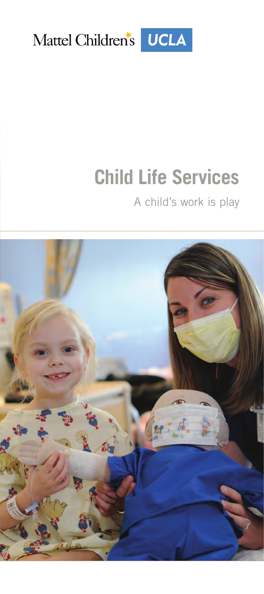

# **Child Life Services**

### A child's work is play

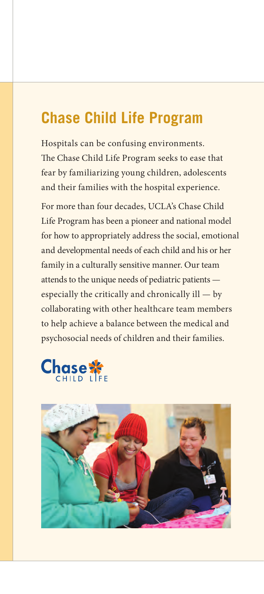# **Chase Child Life Program**

Hospitals can be confusing environments. The Chase Child Life Program seeks to ease that fear by familiarizing young children, adolescents and their families with the hospital experience.

For more than four decades, UCLA's Chase Child Life Program has been a pioneer and national model for how to appropriately address the social, emotional and developmental needs of each child and his or her family in a culturally sensitive manner. Our team attends to the unique needs of pediatric patients especially the critically and chronically ill — by collaborating with other healthcare team members to help achieve a balance between the medical and psychosocial needs of children and their families.



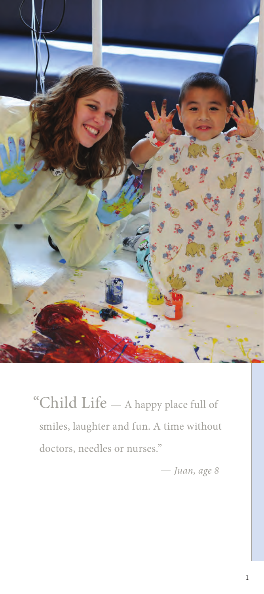

"Child Life — A happy place full of smiles, laughter and fun. A time without doctors, needles or nurses."

*— Juan, age 8*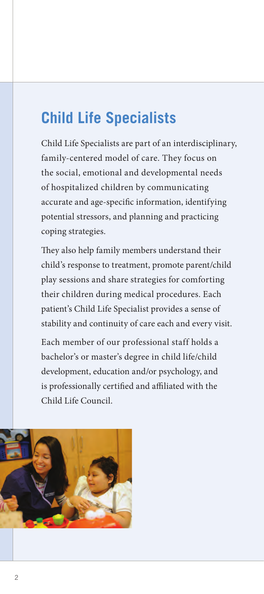# **Child Life Specialists**

Child Life Specialists are part of an interdisciplinary, family-centered model of care. They focus on the social, emotional and developmental needs of hospitalized children by communicating accurate and age-specific information, identifying potential stressors, and planning and practicing coping strategies.

They also help family members understand their child's response to treatment, promote parent/child play sessions and share strategies for comforting their children during medical procedures. Each patient's Child Life Specialist provides a sense of stability and continuity of care each and every visit.

Each member of our professional staff holds a bachelor's or master's degree in child life/child development, education and/or psychology, and is professionally certified and affiliated with the Child Life Council.

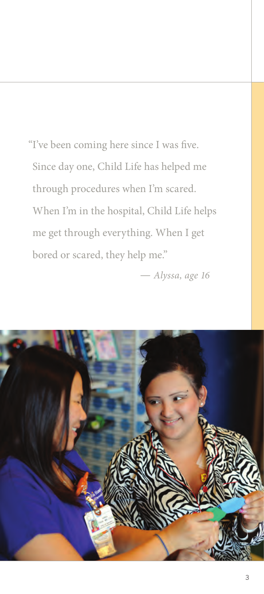"I've been coming here since I was five. Since day one, Child Life has helped me through procedures when I'm scared. When I'm in the hospital, Child Life helps me get through everything. When I get bored or scared, they help me."

*— Alyssa, age 16*

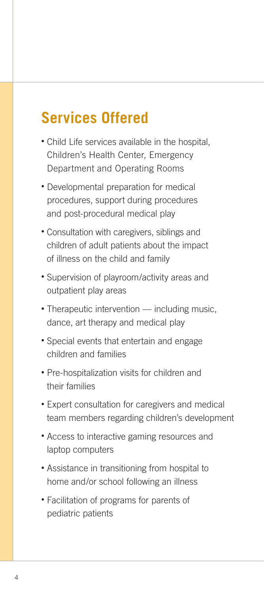# **Services Offered**

- Child Life services available in the hospital, Children's Health Center, Emergency Department and Operating Rooms
- Developmental preparation for medical procedures, support during procedures and post-procedural medical play
- Consultation with caregivers, siblings and children of adult patients about the impact of illness on the child and family
- Supervision of playroom/activity areas and outpatient play areas
- Therapeutic intervention including music, dance, art therapy and medical play
- Special events that entertain and engage children and families
- Pre-hospitalization visits for children and their families
- Expert consultation for caregivers and medical team members regarding children's development
- Access to interactive gaming resources and laptop computers
- Assistance in transitioning from hospital to home and/or school following an illness
- Facilitation of programs for parents of pediatric patients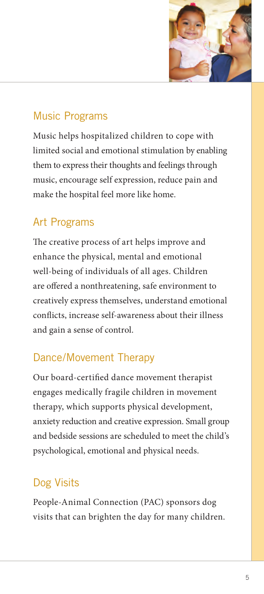

#### Music Programs

Music helps hospitalized children to cope with limited social and emotional stimulation by enabling them to express their thoughts and feelings through music, encourage self expression, reduce pain and make the hospital feel more like home.

#### Art Programs

The creative process of art helps improve and enhance the physical, mental and emotional well-being of individuals of all ages. Children are offered a nonthreatening, safe environment to creatively express themselves, understand emotional conflicts, increase self-awareness about their illness and gain a sense of control.

#### Dance/Movement Therapy

Our board-certified dance movement therapist engages medically fragile children in movement therapy, which supports physical development, anxiety reduction and creative expression. Small group and bedside sessions are scheduled to meet the child's psychological, emotional and physical needs.

#### Dog Visits

People-Animal Connection (PAC) sponsors dog visits that can brighten the day for many children.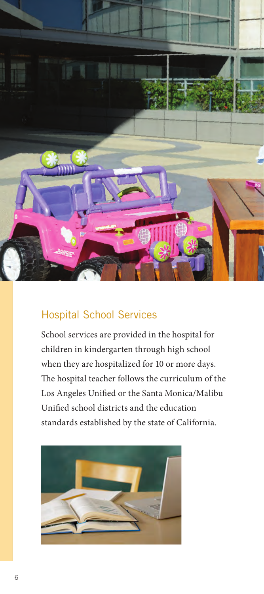

#### Hospital School Services

School services are provided in the hospital for children in kindergarten through high school when they are hospitalized for 10 or more days. The hospital teacher follows the curriculum of the Los Angeles Unified or the Santa Monica/Malibu Unified school districts and the education standards established by the state of California.

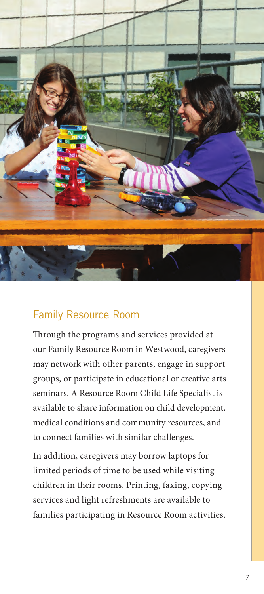

#### Family Resource Room

Through the programs and services provided at our Family Resource Room in Westwood, caregivers may network with other parents, engage in support groups, or participate in educational or creative arts seminars. A Resource Room Child Life Specialist is available to share information on child development, medical conditions and community resources, and to connect families with similar challenges.

In addition, caregivers may borrow laptops for limited periods of time to be used while visiting children in their rooms. Printing, faxing, copying services and light refreshments are available to families participating in Resource Room activities.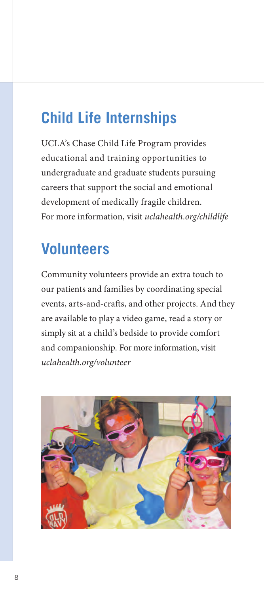# **Child Life Internships**

UCLA's Chase Child Life Program provides educational and training opportunities to undergraduate and graduate students pursuing careers that support the social and emotional development of medically fragile children. For more information, visit *uclahealth.org/childlife*

# **Volunteers**

Community volunteers provide an extra touch to our patients and families by coordinating special events, arts-and-crafts, and other projects. And they are available to play a video game, read a story or simply sit at a child's bedside to provide comfort and companionship. For more information, visit *uclahealth.org/volunteer*

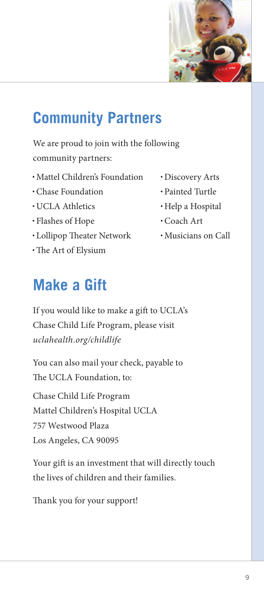

# **Community Partners**

We are proud to join with the following community partners:

- Mattel Children's Foundation
- •Chase Foundation
- UCLA Athletics
- Flashes of Hope
- Lollipop Theater Network
- •The Art of Elysium

# **Make a Gift**

If you would like to make a gift to UCLA's Chase Child Life Program, please visit *uclahealth.org/childlife*

You can also mail your check, payable to The UCLA Foundation, to:

Chase Child Life Program Mattel Children's Hospital UCLA 757 Westwood Plaza Los Angeles, CA 90095

Your gift is an investment that will directly touch the lives of children and their families.

Thank you for your support!

- Discovery Arts
- Painted Turtle
- Help a Hospital
- •Coach Art
- Musicians on Call